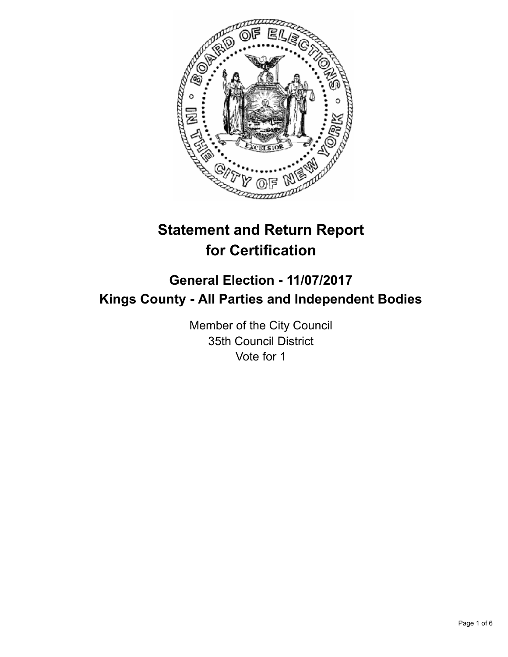

# **Statement and Return Report for Certification**

# **General Election - 11/07/2017 Kings County - All Parties and Independent Bodies**

Member of the City Council 35th Council District Vote for 1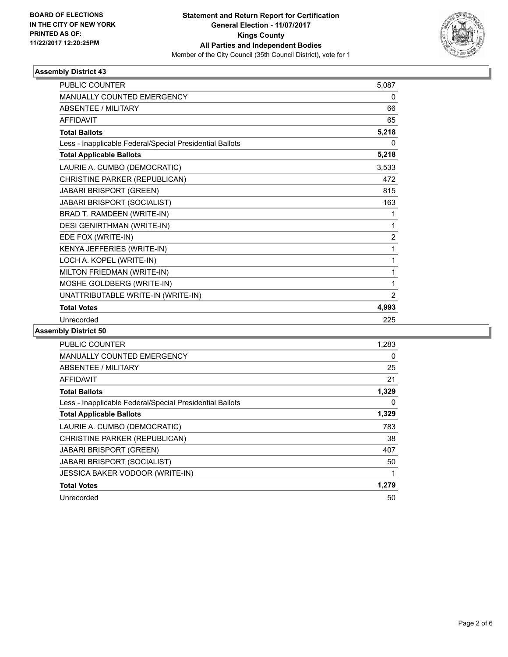

## **Assembly District 43**

| <b>PUBLIC COUNTER</b>                                    | 5,087          |
|----------------------------------------------------------|----------------|
| <b>MANUALLY COUNTED EMERGENCY</b>                        | 0              |
| <b>ABSENTEE / MILITARY</b>                               | 66             |
| <b>AFFIDAVIT</b>                                         | 65             |
| <b>Total Ballots</b>                                     | 5,218          |
| Less - Inapplicable Federal/Special Presidential Ballots | 0              |
| <b>Total Applicable Ballots</b>                          | 5,218          |
| LAURIE A. CUMBO (DEMOCRATIC)                             | 3,533          |
| CHRISTINE PARKER (REPUBLICAN)                            | 472            |
| JABARI BRISPORT (GREEN)                                  | 815            |
| JABARI BRISPORT (SOCIALIST)                              | 163            |
| BRAD T. RAMDEEN (WRITE-IN)                               | 1              |
| <b>DESI GENIRTHMAN (WRITE-IN)</b>                        | 1              |
| EDE FOX (WRITE-IN)                                       | $\overline{2}$ |
| KENYA JEFFERIES (WRITE-IN)                               | 1              |
| LOCH A. KOPEL (WRITE-IN)                                 | 1              |
| MILTON FRIEDMAN (WRITE-IN)                               | 1              |
| MOSHE GOLDBERG (WRITE-IN)                                | 1              |
| UNATTRIBUTABLE WRITE-IN (WRITE-IN)                       | 2              |
| <b>Total Votes</b>                                       | 4,993          |
| Unrecorded                                               | 225            |

#### **Assembly District 50**

| PUBLIC COUNTER                                           | 1.283 |
|----------------------------------------------------------|-------|
| <b>MANUALLY COUNTED EMERGENCY</b>                        | 0     |
| ABSENTEE / MILITARY                                      | 25    |
| AFFIDAVIT                                                | 21    |
| <b>Total Ballots</b>                                     | 1,329 |
| Less - Inapplicable Federal/Special Presidential Ballots | 0     |
| <b>Total Applicable Ballots</b>                          | 1,329 |
| LAURIE A. CUMBO (DEMOCRATIC)                             | 783   |
| CHRISTINE PARKER (REPUBLICAN)                            | 38    |
| <b>JABARI BRISPORT (GREEN)</b>                           | 407   |
| <b>JABARI BRISPORT (SOCIALIST)</b>                       | 50    |
| <b>JESSICA BAKER VODOOR (WRITE-IN)</b>                   | 1     |
| <b>Total Votes</b>                                       | 1,279 |
| Unrecorded                                               | 50    |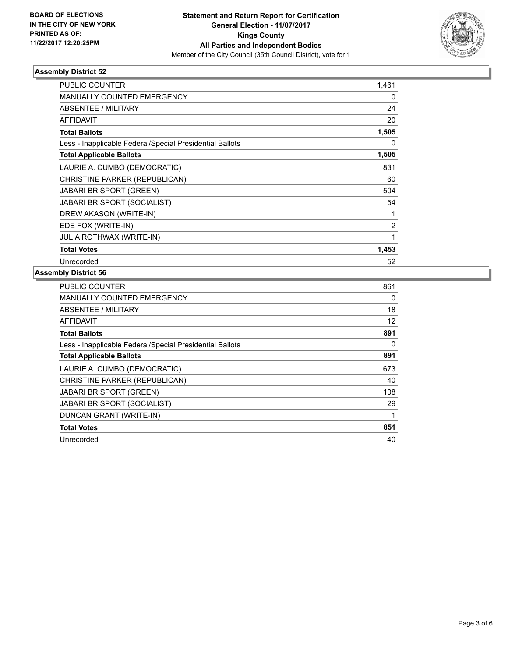

## **Assembly District 52**

| PUBLIC COUNTER                                           | 1,461          |
|----------------------------------------------------------|----------------|
| <b>MANUALLY COUNTED EMERGENCY</b>                        | 0              |
| <b>ABSENTEE / MILITARY</b>                               | 24             |
| <b>AFFIDAVIT</b>                                         | 20             |
| <b>Total Ballots</b>                                     | 1,505          |
| Less - Inapplicable Federal/Special Presidential Ballots | 0              |
| <b>Total Applicable Ballots</b>                          | 1,505          |
| LAURIE A. CUMBO (DEMOCRATIC)                             | 831            |
| CHRISTINE PARKER (REPUBLICAN)                            | 60             |
| <b>JABARI BRISPORT (GREEN)</b>                           | 504            |
| <b>JABARI BRISPORT (SOCIALIST)</b>                       | 54             |
| DREW AKASON (WRITE-IN)                                   | 1              |
| EDE FOX (WRITE-IN)                                       | $\overline{2}$ |
| <b>JULIA ROTHWAX (WRITE-IN)</b>                          | 1              |
| <b>Total Votes</b>                                       | 1,453          |
| Unrecorded                                               | 52             |

#### **Assembly District 56**

| <b>PUBLIC COUNTER</b>                                    | 861 |
|----------------------------------------------------------|-----|
| <b>MANUALLY COUNTED EMERGENCY</b>                        | 0   |
| <b>ABSENTEE / MILITARY</b>                               | 18  |
| <b>AFFIDAVIT</b>                                         | 12  |
| <b>Total Ballots</b>                                     | 891 |
| Less - Inapplicable Federal/Special Presidential Ballots | 0   |
| <b>Total Applicable Ballots</b>                          | 891 |
| LAURIE A. CUMBO (DEMOCRATIC)                             | 673 |
| CHRISTINE PARKER (REPUBLICAN)                            | 40  |
| <b>JABARI BRISPORT (GREEN)</b>                           | 108 |
| <b>JABARI BRISPORT (SOCIALIST)</b>                       | 29  |
| DUNCAN GRANT (WRITE-IN)                                  | 1   |
| <b>Total Votes</b>                                       | 851 |
| Unrecorded                                               | 40  |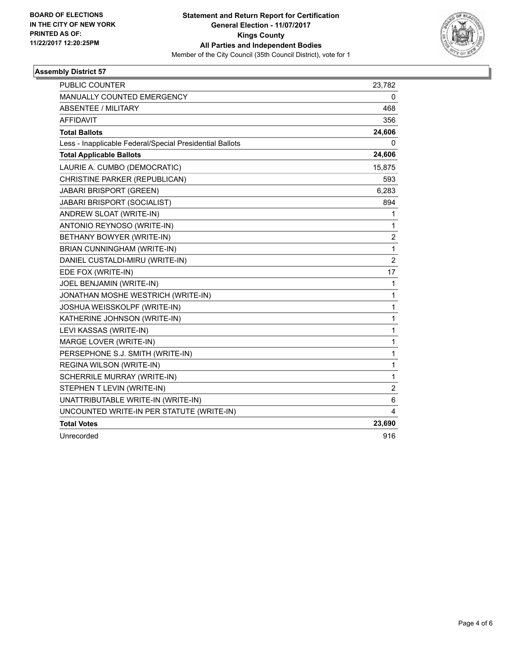

## **Assembly District 57**

| <b>PUBLIC COUNTER</b>                                    | 23,782         |
|----------------------------------------------------------|----------------|
| <b>MANUALLY COUNTED EMERGENCY</b>                        | 0              |
| ABSENTEE / MILITARY                                      | 468            |
| <b>AFFIDAVIT</b>                                         | 356            |
| <b>Total Ballots</b>                                     | 24,606         |
| Less - Inapplicable Federal/Special Presidential Ballots | 0              |
| <b>Total Applicable Ballots</b>                          | 24,606         |
| LAURIE A. CUMBO (DEMOCRATIC)                             | 15,875         |
| CHRISTINE PARKER (REPUBLICAN)                            | 593            |
| <b>JABARI BRISPORT (GREEN)</b>                           | 6,283          |
| <b>JABARI BRISPORT (SOCIALIST)</b>                       | 894            |
| ANDREW SLOAT (WRITE-IN)                                  | 1              |
| ANTONIO REYNOSO (WRITE-IN)                               | 1              |
| BETHANY BOWYER (WRITE-IN)                                | 2              |
| BRIAN CUNNINGHAM (WRITE-IN)                              | 1              |
| DANIEL CUSTALDI-MIRU (WRITE-IN)                          | $\overline{2}$ |
| EDE FOX (WRITE-IN)                                       | 17             |
| JOEL BENJAMIN (WRITE-IN)                                 | 1              |
| JONATHAN MOSHE WESTRICH (WRITE-IN)                       | 1              |
| JOSHUA WEISSKOLPF (WRITE-IN)                             | 1              |
| KATHERINE JOHNSON (WRITE-IN)                             | 1              |
| LEVI KASSAS (WRITE-IN)                                   | 1              |
| MARGE LOVER (WRITE-IN)                                   | 1              |
| PERSEPHONE S.J. SMITH (WRITE-IN)                         | 1              |
| REGINA WILSON (WRITE-IN)                                 | 1              |
| SCHERRILE MURRAY (WRITE-IN)                              | 1              |
| STEPHEN T LEVIN (WRITE-IN)                               | 2              |
| UNATTRIBUTABLE WRITE-IN (WRITE-IN)                       | 6              |
| UNCOUNTED WRITE-IN PER STATUTE (WRITE-IN)                | 4              |
| <b>Total Votes</b>                                       | 23,690         |
| Unrecorded                                               | 916            |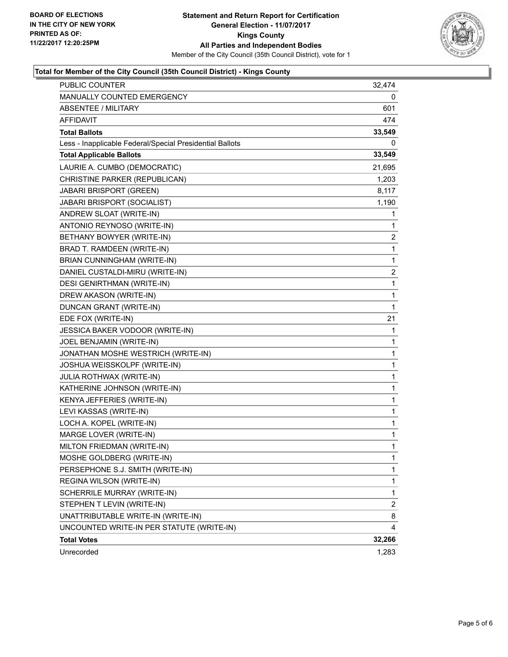

## **Total for Member of the City Council (35th Council District) - Kings County**

| PUBLIC COUNTER                                           | 32,474                  |
|----------------------------------------------------------|-------------------------|
| MANUALLY COUNTED EMERGENCY                               | 0                       |
| ABSENTEE / MILITARY                                      | 601                     |
| AFFIDAVIT                                                | 474                     |
| <b>Total Ballots</b>                                     | 33,549                  |
| Less - Inapplicable Federal/Special Presidential Ballots | 0                       |
| <b>Total Applicable Ballots</b>                          | 33,549                  |
| LAURIE A. CUMBO (DEMOCRATIC)                             | 21,695                  |
| CHRISTINE PARKER (REPUBLICAN)                            | 1,203                   |
| JABARI BRISPORT (GREEN)                                  | 8,117                   |
| JABARI BRISPORT (SOCIALIST)                              | 1,190                   |
| ANDREW SLOAT (WRITE-IN)                                  | 1                       |
| ANTONIO REYNOSO (WRITE-IN)                               | 1                       |
| BETHANY BOWYER (WRITE-IN)                                | 2                       |
| BRAD T. RAMDEEN (WRITE-IN)                               | 1                       |
| BRIAN CUNNINGHAM (WRITE-IN)                              | 1                       |
| DANIEL CUSTALDI-MIRU (WRITE-IN)                          | 2                       |
| <b>DESI GENIRTHMAN (WRITE-IN)</b>                        | 1                       |
| DREW AKASON (WRITE-IN)                                   | 1                       |
| DUNCAN GRANT (WRITE-IN)                                  | 1                       |
| EDE FOX (WRITE-IN)                                       | 21                      |
| JESSICA BAKER VODOOR (WRITE-IN)                          | 1                       |
| JOEL BENJAMIN (WRITE-IN)                                 | 1                       |
| JONATHAN MOSHE WESTRICH (WRITE-IN)                       | 1                       |
| JOSHUA WEISSKOLPF (WRITE-IN)                             | 1                       |
| JULIA ROTHWAX (WRITE-IN)                                 | 1                       |
| KATHERINE JOHNSON (WRITE-IN)                             | 1                       |
| KENYA JEFFERIES (WRITE-IN)                               | 1                       |
| LEVI KASSAS (WRITE-IN)                                   | 1                       |
| LOCH A. KOPEL (WRITE-IN)                                 | $\mathbf{1}$            |
| MARGE LOVER (WRITE-IN)                                   | 1                       |
| MILTON FRIEDMAN (WRITE-IN)                               | 1                       |
| MOSHE GOLDBERG (WRITE-IN)                                | $\mathbf{1}$            |
| PERSEPHONE S.J. SMITH (WRITE-IN)                         | 1                       |
| REGINA WILSON (WRITE-IN)                                 | 1                       |
| SCHERRILE MURRAY (WRITE-IN)                              | $\mathbf{1}$            |
| STEPHEN T LEVIN (WRITE-IN)                               | $\overline{\mathbf{c}}$ |
| UNATTRIBUTABLE WRITE-IN (WRITE-IN)                       | 8                       |
| UNCOUNTED WRITE-IN PER STATUTE (WRITE-IN)                | 4                       |
| <b>Total Votes</b>                                       | 32,266                  |
| Unrecorded                                               | 1,283                   |